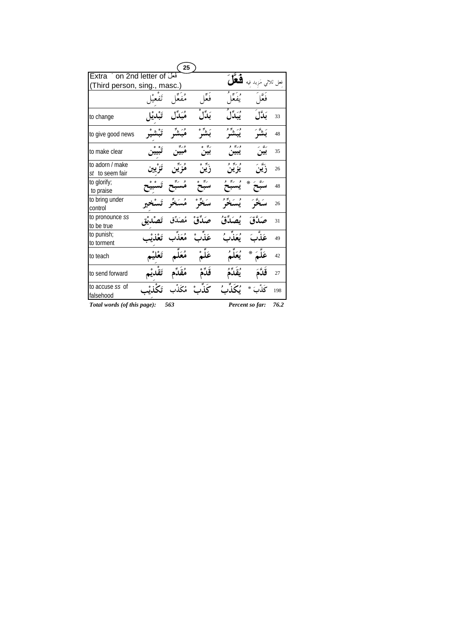|                                    |           | 25       |              |                        |                     |      |
|------------------------------------|-----------|----------|--------------|------------------------|---------------------|------|
| Extra on 2nd letter of             |           |          |              |                        | فعل ثلاثی مَزید فیه |      |
| (Third person, sing., masc.)       |           |          |              |                        |                     |      |
|                                    |           |          | فَعَلَ       |                        |                     |      |
| to change                          |           | مْبَدِّ  | بَدِّل       | ئىڭل                   | بَلَّال             | 33   |
| to give good news                  |           |          | بَشَّرُ      | ور په و<br><b>پېشو</b> | بَشَہِ              | 48   |
| to make clear                      |           |          | ربو ه<br>بين | وريو و<br>يبين         |                     | 35   |
| to adorn / make<br>st to seem fair |           |          | ڒؘؾڹ۠        | و په و<br>يز ين        | ر ين                | 26   |
| to glorify;<br>to praise           |           |          |              |                        | ∗                   | 48   |
| to bring under<br>control          | تَسْتُ    |          |              |                        |                     | 26   |
| to pronounce ss<br>to be true      |           | مُصَدِّق | صَدَّقْ      | ٛٮؙڝؘڐۜقُ              | لدَّق               | 31   |
| to punish;<br>to torment           | تَعْذَرْ  | مُعَذِّب | عَذَبْ       | و<br>پع                |                     | 49   |
| to teach                           | تَعْلَىْم |          | عَلَىٰ       |                        | $\ast$              | 42   |
| to send forward                    |           |          |              | يقّ                    |                     | 27   |
| to accuse ss of<br>falsehood       |           |          |              |                        |                     | 198  |
| Total words (of this page):        |           | 563      |              |                        | Percent so far:     | 76.2 |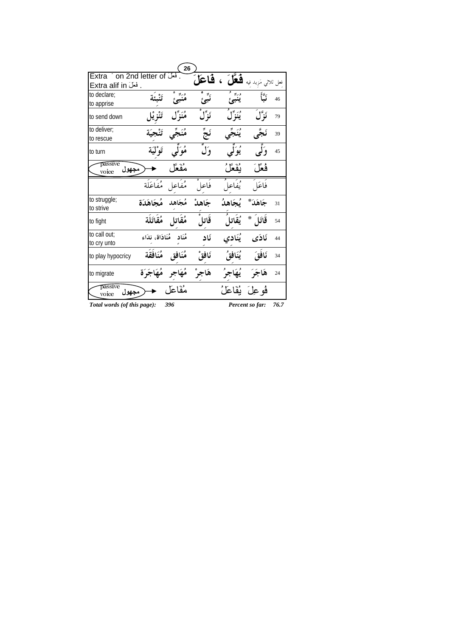|                                   |                          | 26                   |         |                                    |                      |    |
|-----------------------------------|--------------------------|----------------------|---------|------------------------------------|----------------------|----|
| . فَعَلَ Extra ´ on 2nd letter of |                          |                      | فاعا    | قعا                                | فعل ثلاثي مَزيد فيه  |    |
| . فَعَلَ Extra alif in            |                          |                      |         |                                    |                      |    |
| to declare:                       |                          |                      |         |                                    |                      | 46 |
| to apprise                        |                          |                      |         |                                    |                      |    |
| to send down                      |                          | مُنَزِّل             | نَزِّلُ | وريبل <sup>د</sup><br><b>ينز</b> ل | نَوْلَ               | 79 |
| to deliver;                       | تَنْع                    | مُنَجِّي             | نَجٌ    | يُنَجِّي                           | نَجَّى               | 39 |
| to rescue                         |                          |                      |         |                                    |                      |    |
| to turn                           |                          | هُوَلَّى تَوْلَيَة   | وَل     | يُوَلَى                            | وَلَى                | 45 |
| passive<br>مجهول<br>voice         |                          | مُفَعَّل             |         | يقعل                               | فُعِّلَ              |    |
|                                   | مُفَاعل مُفَاعَلَة       |                      | فاعل    | يُفَاعلَ                           | فاعَلَ               |    |
| to struggle;<br>to strive         | مُجَاهد مُجَاهَدَة       |                      | جَاهدْ  | بُجَاهدُ                           | جَاهَدَ*             | 31 |
| to fight                          |                          | مُقَاتل مُقَاتَلَة   | قاتل    | يُقَاتلَ                           | ⋇<br>قَاتَا          | 54 |
| to call out:                      | مُنَاد مُنَادَاة، نِدَاء |                      | ئاد     | يُنَادي                            | ئادَى                | 44 |
| to cry unto                       |                          |                      |         |                                    |                      |    |
| to play hypocricy                 |                          | مُنَافَقٍ مُنَافَقَة | نَافَقٌ | يُنَافَقُ                          | نَافَقَ              | 34 |
| to migrate                        | مُهَاجَرَة               | مُهَاجر              | هَاجوْ  | يُهَاجِرُ                          | هَاجَرَ              | 24 |
| passive<br>جهول<br>voice          |                          | مُفَاعَل             |         |                                    | فُو عِلَ ۖ بُفَاعَلُ |    |
|                                   |                          |                      |         |                                    |                      |    |

*Total words (of this page): 396 Percent so far: 76.7*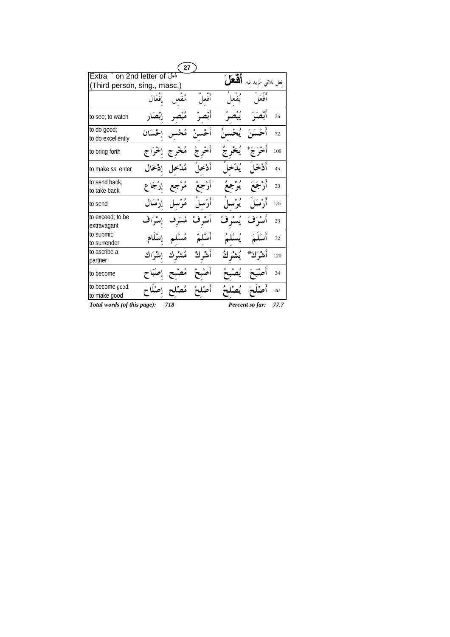|                                  |                 | 27                     |         |                   |                     |      |
|----------------------------------|-----------------|------------------------|---------|-------------------|---------------------|------|
| Extra on 2nd letter of           |                 |                        |         |                   | فعل ثلاثى مَزيد فيه |      |
| (Third person, sing., masc.)     |                 |                        |         |                   |                     |      |
|                                  |                 | مُفعل إفعَال           | أفعل    | و°معا ُ           | أفْعَلَ             |      |
| to see; to watch                 | إبصار           | مُبْصر                 |         |                   | أثصَبَ              | 36   |
| to do good;<br>to do excellently | احْسَان         | مُحْسن                 |         |                   | أَحْسَنَ يُحْسنُ    | 72   |
| to bring forth                   | مُخْرِج إخْرَاج |                        | أخرج    |                   |                     | 108  |
| to make ss enter                 | إدْخَال         | مُدْخل                 | أدْخا ِ | يُدْخ             | أَدْخَا             | 45   |
| to send back;<br>to take back    | مُرْجع إرْجَاع  |                        |         | يُوْجَعَ          | أَرْجَعَ            | 33   |
| to send                          |                 | أَرْسلْ مُرْسل إرْسَال |         | و ه<br><b>يرس</b> | أدىبَ               | 135  |
| to exceed; to be<br>extravagant  | إسْرَاف         | مُسْرِف                | اسْہ فْ | يُسْرِفُ          | أمدَفَ              | 23   |
| to submit:<br>to surrender       |                 | مُسْلم إِسْلَام        | أسْلمْ  | يُسْلَمُ          | أَسْلَمَ            | 72   |
| to ascribe a<br>partner          |                 | مُشْرِك إشْرَاك        | أشرك    | يُشْر كُ          | أَنشَوَكُمْ *       | 120  |
| to become                        |                 | مُصْد                  |         | ؽؙڝ۫ڹ             |                     | 34   |
| to become good;<br>to make good  | إصْلَا          | مُصْل                  |         |                   |                     | 40   |
| Total words (of this page):      |                 | 718                    |         |                   | Percent so far:     | 77.7 |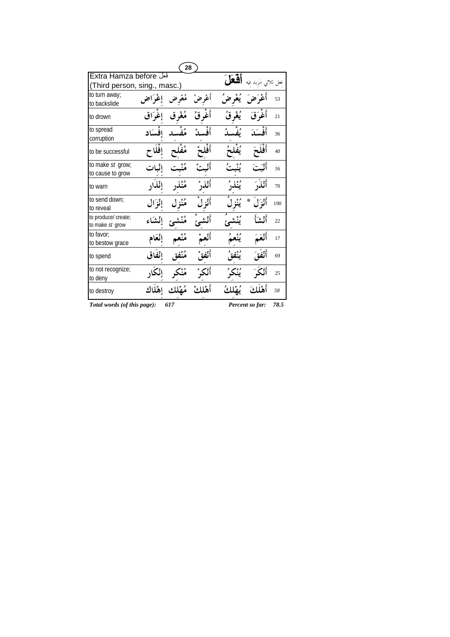|                                                    |         | 28  |        |            |                 |      |
|----------------------------------------------------|---------|-----|--------|------------|-----------------|------|
| Extra Hamza before<br>(Third person, sing., masc.) |         |     |        | قعا        |                 |      |
| to turn away;<br>to backslide                      | إغراض   |     |        |            |                 | 53   |
| to drown                                           | إغراق   |     | اغر قْ |            | أغوتق           | 21   |
| to spread<br>corruption                            | افسكاد  |     |        |            | أَفْسَدَ        | 36   |
| to be successful                                   |         |     |        |            |                 | 40   |
| to make st grow;<br>to cause to grow               |         |     |        |            |                 | 16   |
| to warn                                            | ائذ     |     |        |            | أَنْذَرَ        | 70   |
| to send down;<br>to reveal                         | إنزال   |     |        |            | ₩               | 190  |
| to produce/ create;<br>to make st grow             |         |     |        |            | أثشأ            | 22   |
| to favor:<br>to bestow grace                       | إنْعَام |     |        |            |                 | 17   |
| to spend                                           |         |     |        | وه.<br>ننذ |                 | 69   |
| to not recognize;<br>to deny                       |         |     |        |            |                 | 25   |
| to destroy                                         |         |     |        |            |                 | 58   |
| Total words (of this page):                        |         | 617 |        |            | Percent so far: | 78.5 |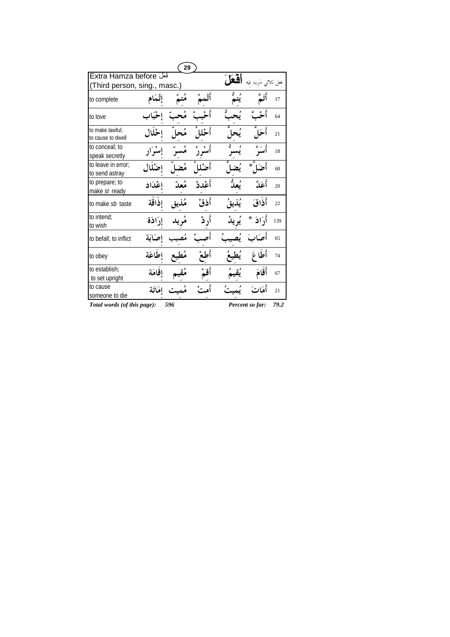|                                      |          | 29 |         |     |             |            |
|--------------------------------------|----------|----|---------|-----|-------------|------------|
| Extra Hamza before                   |          |    |         | قعا |             | فعل ثلاثے, |
| (Third person, sing., masc.)         |          |    |         |     |             |            |
| to complete                          | إِتْمَام |    |         |     |             | 17         |
| to love                              |          |    |         |     |             | 64         |
| to make lawful;<br>to cause to dwell |          |    |         |     |             | 21         |
| to conceal; to<br>speak secretly     |          |    |         |     |             | 18         |
| to leave in error:<br>to send astray |          |    |         |     |             | 68         |
| to prepare; to<br>make st ready      | إعْدَاد  |    | أَعْددْ |     | أَعَلَّ     | 20         |
| to make sb taste                     | اذاقة    |    | أذقْ    |     | أذَاقَ      | 22         |
| to intend:<br>to wish                | إرادَة   |    |         |     | أرَادَ<br>⋇ | 139        |
| to befall; to inflict                | احكاكة   |    |         |     |             | 65         |
| to obey                              | اطاعَة   |    |         |     | أُطا        | 74         |
| to establish;<br>to set upright      | إقامَة   |    |         |     | أَقَامَ     | 67         |
| to cause<br>someone to die           | إمكاتة   |    |         |     | أَمَا       | 21         |
|                                      |          |    |         |     |             |            |

*Total words (of this page): 596 Percent so far: 79.2*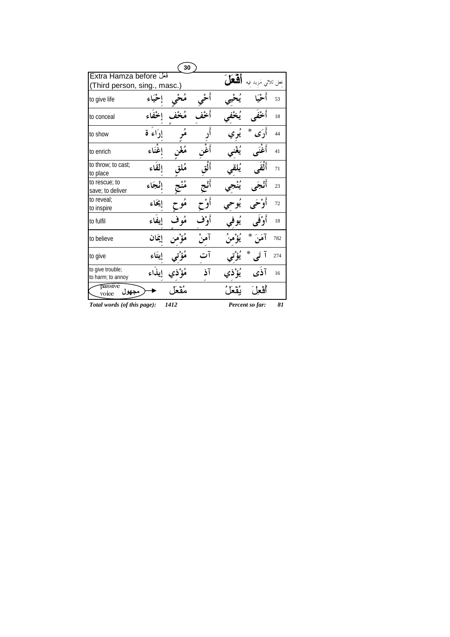|                                       |          | 30   |          |                 |     |
|---------------------------------------|----------|------|----------|-----------------|-----|
| Extra Hamza before                    |          |      |          |                 |     |
| (Third person, sing., masc.)          |          |      |          |                 |     |
| to give life                          |          |      |          |                 | 53  |
| to conceal                            |          |      |          |                 | 18  |
| to show                               | إدَاء قا |      |          | ∗               | 44  |
| to enrich                             | اغنَاء   |      |          |                 | 41  |
| to throw; to cast;<br>to place        | القاء    |      |          | آة              | 71  |
| to rescue; to<br>save; to deliver     | إنْجَاءِ |      |          |                 | 23  |
| to reveal;<br>to inspire              | إيمحاء   |      |          |                 | 72  |
| to fulfil                             |          |      | اُو ٖ°فر |                 | 18  |
| to believe                            | إيمان    |      |          | ⋇<br>آهَنَ      | 782 |
| to give                               |          |      |          | ∗               | 274 |
| to give trouble;<br>to harm; to annoy |          |      |          |                 | 16  |
| passive<br>ىجھول<br>voice             |          |      |          |                 |     |
| Total words (of this page):           |          | 1412 |          | Percent so far: | 81  |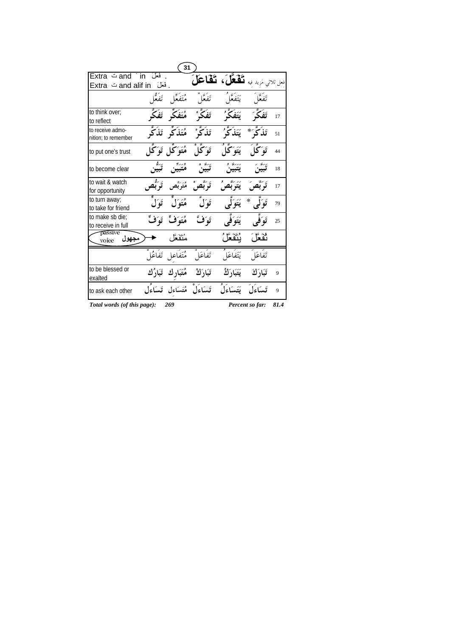|                                         |         | 31                            |                                                        |                        |                 |      |
|-----------------------------------------|---------|-------------------------------|--------------------------------------------------------|------------------------|-----------------|------|
| فعَلَ Extra تand ´in                    |         |                               | فعل ثلاثي مَزيد فيه <b>نَكْفَلَّ)، نَكْمَا حَلَّ</b> ج |                        |                 |      |
|                                         | ۔ فعلَ  |                               |                                                        |                        |                 |      |
|                                         |         | مُتَفَعَّل تَفَعُّا           | تَفَعَّلُ                                              | يَتَفَعَّا             | تَفَعَّا        |      |
| to think over:<br>to reflect            |         | مُتَفَكِّر تَفَكِّر           | تَفَكَّرْ                                              | َ يَتَفَكَّرُ <i>'</i> | ئَفَکَ <i>ک</i> | 17   |
| to receive admo-<br>nition; to remember |         | ثَذَكَّرْ مُتَذَكِّر ثَذَكَّر |                                                        | يَتَذَكَّ'             | تَذَكَّى ُ *    | 51   |
| to put one's trust                      |         | هُتَوَ ٓگُل تَوَ ٓگُل         | تَوَكَّا ْ                                             | يَتَوَكَّلُ            | تَوَكَّلَ       | 44   |
| to become clear                         | تىگە.   |                               |                                                        |                        |                 | 18   |
| to wait & watch<br>for opportunity      |         | مُتَرَبِّص تَرَبُّص           | تَوَبَّصُ                                              | ۘؽڗؘڹۘ۠۠۠ڝؙ            | تَوَبَّصَ       | 17   |
| to turn away;<br>to take for friend     |         | هُتَوَلَٰ تَوَلَ              | توك                                                    |                        | ∗               | 79   |
| to make sb die;<br>to receive in full   | تَوَفَّ | مُتَوَفِّ                     | توَفَّ                                                 | يَتَوَفَّى             | تَوَفَّى        | 25   |
| passive<br>مجهول<br>voice               |         | مُتَقَعَّل                    |                                                        | ؠؙڹۜٞڡؘٞؖڡۘٙڵ          | نفعل            |      |
|                                         |         | مُتَفَاعِلِ تَفَاعُلُ         | تَفَاعَلْ                                              | يَتَفَاعَلُ            | تفاعَل          |      |
| to be blessed or<br>exalted             |         | تَبَارَكْ مُتَبَارِك تَبَارُك |                                                        | يَتَبَارَكُ            | تَبَارَكَ       | 9    |
| to ask each other                       |         |                               | تَسَاءَلْ مُتَسَاءِل تَسَاءُل                          | يَتَسَاءَلُ            | تسكوَلَ         | 9    |
| Total words (of this page):             |         | 269                           |                                                        |                        | Percent so far: | 81.4 |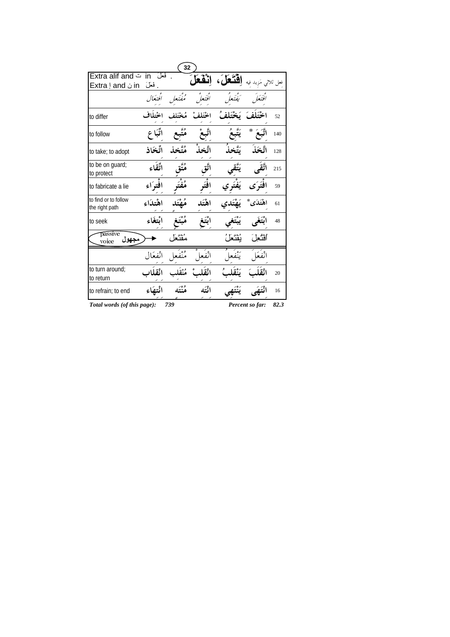|                                        |            | 32      |        |      |                 |         |
|----------------------------------------|------------|---------|--------|------|-----------------|---------|
| in ت Extra alif and                    | فعان       |         | ثقعا   |      |                 | فعل ثلا |
| in ن Extra ! and                       | فعل        |         |        |      |                 |         |
|                                        | افتعال     |         |        |      |                 |         |
| to differ                              |            |         |        |      |                 | 52      |
| to follow                              |            |         |        |      | ⋇               | 140     |
| to take; to adopt                      | اتِّخَاذ   |         |        |      |                 | 128     |
| to be on guard;<br>to protect          | تُقاء      |         |        |      |                 | 215     |
| to fabricate a lie                     | افتراء     |         |        |      |                 | 59      |
| to find or to follow<br>the right path | اهْتِدَاءِ | مُصْتَل | اهْتَد |      | اهْتَدَى*       | 61      |
| to seek                                |            |         |        |      |                 | 48      |
| passive<br>مجهول<br>voice              |            |         |        | ئقتُ | أثثع            |         |
|                                        | انفعَال    | و ه     | انفع   |      | انفعًا          |         |
| to turn around;<br>to return           |            |         |        |      |                 | 20      |
| to refrain; to end                     | تتهاء      | و ه۔    |        |      |                 | 16      |
| Total words (of this page):            |            | 739     |        |      | Percent so far: | 82.3    |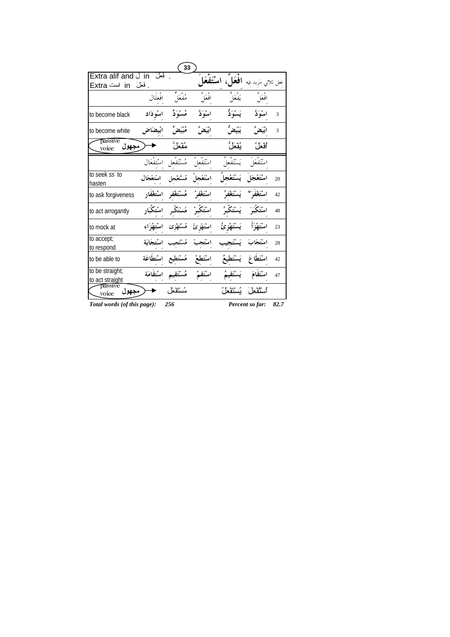|                                    |                       | 33          |             |                                                       |                 |      |
|------------------------------------|-----------------------|-------------|-------------|-------------------------------------------------------|-----------------|------|
| Extra alif and J in                | فعل                   |             |             | فعل ثلاثي مَزيد فيه <b>افعَلَ</b> ، <b>اسْتَفْعَا</b> |                 |      |
| فعلَ in است Extra                  |                       |             |             |                                                       |                 |      |
|                                    | افعلال                | مفعّلُ      | أفْعَلَ     | ره<br>يَفْعَلُ                                        | أفْعَلَ         |      |
| to become black                    | اسوذاد                | مُسْوَدٌّ   | اسْوَدٌ     | يَسْوَدُّ                                             | اسْوَدٌ         | 3    |
| to become white                    | ابيضاض                |             | ابْيَضُّ    | يَيْتَضُّ                                             | ابْيَضٌ         | 3    |
| passive<br>رمجهول<br>voice         |                       | مُقْعَلُ    |             | يُقْعَلُ                                              | ٱقعاً ،         |      |
|                                    | مُسْتَفْعل اسْتفْعَال |             | ستفعل       | يَسْتَفْعَلُ                                          | اسْتَفْعَلَ     |      |
| to seek ss to<br>hasten            | اسْتعْجَال            | مُسْتَغْجل  | اسْتَغْجلْ  | يَسْتَعْجِلُ                                          | اسْتَعْجَلَ     | 20   |
| to ask forgiveness                 | اسْتغْفَار            | مُسْتَغْفر  | اسْتَغْفُ   | يَسْتَغْفُوْ                                          | اسْتَغْفَى َ ** | 42   |
| to act arrogantly                  | اسْتكْبَار            | مُسْتَكْبر  | اسْتَكْبَرْ | ۘۑؘڛ۠تَكْبُرُ                                         | اسْتَكْبَهَ     | 48   |
| to mock at                         | امىنتىقۇ اء           | مُسْتَهْزِئ | اسْتَهْز ئْ | يَسْتَهْزِئُ                                          | اسْتَقِذَأَ     | 23   |
| to accept;<br>to respond           | اسْتجَابَة            | مُسْتَجِيب  | اسْتَجِبْ   | يَسْتَد                                               |                 | 28   |
| to be able to                      | اسْتطَاعَة            | مُسْتَطيع   | اسْتَطعْ    | يَسْتَطْبَعُ                                          | اسْتَطَاعَ      | 42   |
| to be straight;<br>to act straight | اسْتقَامَة            | مُسْتَقِيم  | اسْتَقَمْ   | يَسْتَقِيمُ                                           | اسْتَقَامَ      | 47   |
| passive<br>مجهو ل<br>voice         |                       | مُسْتَقْعَل |             | أسْتُقعِلَ بُسْتَقْعَلُ                               |                 |      |
| Total words (of this page):        |                       | 256         |             |                                                       | Percent so far: | 82.7 |